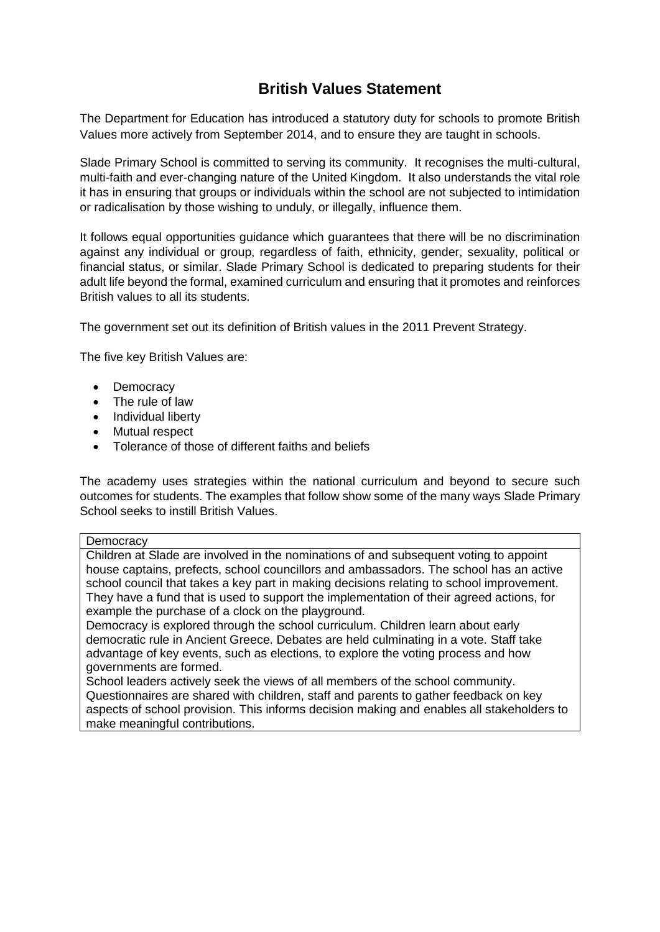## **British Values Statement**

The Department for Education has introduced a statutory duty for schools to promote British Values more actively from September 2014, and to ensure they are taught in schools.

Slade Primary School is committed to serving its community. It recognises the multi-cultural, multi-faith and ever-changing nature of the United Kingdom. It also understands the vital role it has in ensuring that groups or individuals within the school are not subjected to intimidation or radicalisation by those wishing to unduly, or illegally, influence them.

It follows equal opportunities guidance which guarantees that there will be no discrimination against any individual or group, regardless of faith, ethnicity, gender, sexuality, political or financial status, or similar. Slade Primary School is dedicated to preparing students for their adult life beyond the formal, examined curriculum and ensuring that it promotes and reinforces British values to all its students.

The government set out its definition of British values in the 2011 Prevent Strategy.

The five key British Values are:

- Democracy
- The rule of law
- Individual liberty
- Mutual respect
- Tolerance of those of different faiths and beliefs

The academy uses strategies within the national curriculum and beyond to secure such outcomes for students. The examples that follow show some of the many ways Slade Primary School seeks to instill British Values.

## **Democracy**

Children at Slade are involved in the nominations of and subsequent voting to appoint house captains, prefects, school councillors and ambassadors. The school has an active school council that takes a key part in making decisions relating to school improvement. They have a fund that is used to support the implementation of their agreed actions, for example the purchase of a clock on the playground.

Democracy is explored through the school curriculum. Children learn about early democratic rule in Ancient Greece. Debates are held culminating in a vote. Staff take advantage of key events, such as elections, to explore the voting process and how governments are formed.

School leaders actively seek the views of all members of the school community. Questionnaires are shared with children, staff and parents to gather feedback on key aspects of school provision. This informs decision making and enables all stakeholders to make meaningful contributions.